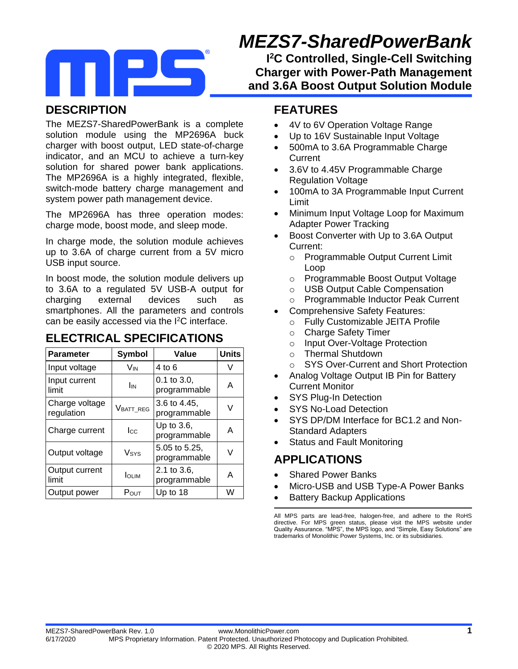# *MEZS7-SharedPowerBank*

**I <sup>2</sup>C Controlled, Single-Cell Switching Charger with Power-Path Management and 3.6A Boost Output Solution Module**

### **DESCRIPTION**

The MEZS7-SharedPowerBank is a complete solution module using the MP2696A buck charger with boost output, LED state-of-charge indicator, and an MCU to achieve a turn-key solution for shared power bank applications. The MP2696A is a highly integrated, flexible, switch-mode battery charge management and system power path management device.

The MP2696A has three operation modes: charge mode, boost mode, and sleep mode.

In charge mode, the solution module achieves up to 3.6A of charge current from a 5V micro USB input source.

In boost mode, the solution module delivers up to 3.6A to a regulated 5V USB-A output for charging external devices such as smartphones. All the parameters and controls can be easily accessed via the I<sup>2</sup>C interface.

### **ELECTRICAL SPECIFICATIONS**

| <b>Parameter</b>             | Symbol          | Value                            | <b>Units</b> |
|------------------------------|-----------------|----------------------------------|--------------|
| Input voltage                | Vın             | 4 to 6                           |              |
| Input current<br>limit       | I <sub>IN</sub> | $0.1$ to $3.0$ ,<br>programmable | A            |
| Charge voltage<br>regulation | VBATT_REG       | 3.6 to 4.45,<br>programmable     | V            |
| Charge current               | $_{\rm lcc}$    | Up to $3.6$ ,<br>programmable    | А            |
| Output voltage               | Vsys            | 5.05 to 5.25,<br>programmable    | V            |
| Output current<br>limit      | <b>I</b> OLIM   | 2.1 to 3.6,<br>programmable      | А            |
| Output power                 | Pout            | Up to 18                         | W            |

#### **FEATURES**

- 4V to 6V Operation Voltage Range
- Up to 16V Sustainable Input Voltage
- 500mA to 3.6A Programmable Charge **Current**
- 3.6V to 4.45V Programmable Charge Regulation Voltage
- 100mA to 3A Programmable Input Current Limit
- Minimum Input Voltage Loop for Maximum Adapter Power Tracking
- Boost Converter with Up to 3.6A Output Current:
	- o Programmable Output Current Limit Loop
	- o Programmable Boost Output Voltage
	- o USB Output Cable Compensation
	- o Programmable Inductor Peak Current
- Comprehensive Safety Features:
	- o Fully Customizable JEITA Profile
	- o Charge Safety Timer
	- o Input Over-Voltage Protection
	- o Thermal Shutdown
	- o SYS Over-Current and Short Protection
- Analog Voltage Output IB Pin for Battery Current Monitor
- SYS Plug-In Detection
- SYS No-Load Detection
- SYS DP/DM Interface for BC1.2 and Non-Standard Adapters
- Status and Fault Monitoring

### **APPLICATIONS**

- Shared Power Banks
- Micro-USB and USB Type-A Power Banks
- Battery Backup Applications

All MPS parts are lead-free, halogen-free, and adhere to the RoHS directive. For MPS green status, please visit the MPS website under Quality Assurance. "MPS", the MPS logo, and "Simple, Easy Solutions" are trademarks of Monolithic Power Systems, Inc. or its subsidiaries.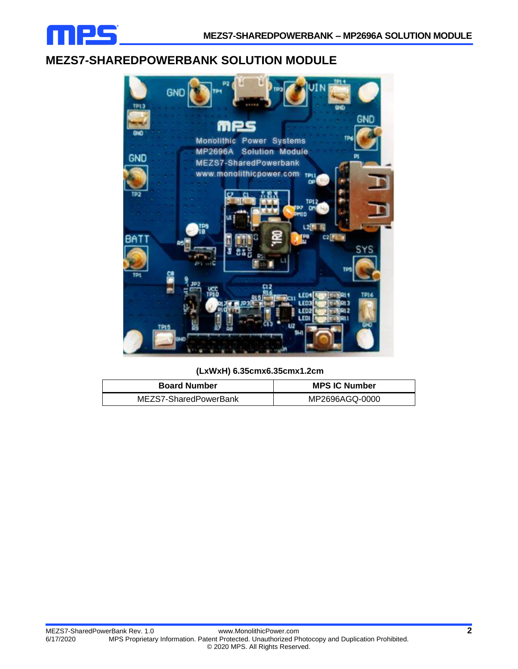

#### **MEZS7-SHAREDPOWERBANK SOLUTION MODULE**



**(LxWxH) 6.35cmx6.35cmx1.2cm**

| <b>Board Number</b>   | <b>MPS IC Number</b> |  |
|-----------------------|----------------------|--|
| MEZS7-SharedPowerBank | MP2696AGQ-0000       |  |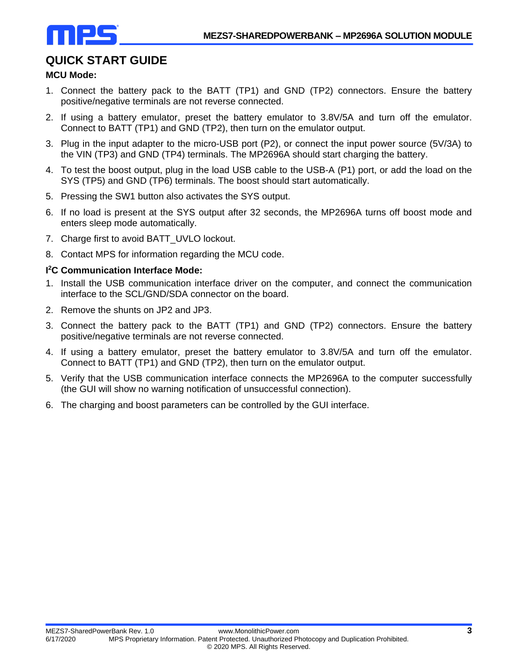

# **QUICK START GUIDE**

#### **MCU Mode:**

- 1. Connect the battery pack to the BATT (TP1) and GND (TP2) connectors. Ensure the battery positive/negative terminals are not reverse connected.
- 2. If using a battery emulator, preset the battery emulator to 3.8V/5A and turn off the emulator. Connect to BATT (TP1) and GND (TP2), then turn on the emulator output.
- 3. Plug in the input adapter to the micro-USB port (P2), or connect the input power source (5V/3A) to the VIN (TP3) and GND (TP4) terminals. The MP2696A should start charging the battery.
- 4. To test the boost output, plug in the load USB cable to the USB-A (P1) port, or add the load on the SYS (TP5) and GND (TP6) terminals. The boost should start automatically.
- 5. Pressing the SW1 button also activates the SYS output.
- 6. If no load is present at the SYS output after 32 seconds, the MP2696A turns off boost mode and enters sleep mode automatically.
- 7. Charge first to avoid BATT UVLO lockout.
- 8. Contact MPS for information regarding the MCU code.

#### **I <sup>2</sup>C Communication Interface Mode:**

- 1. Install the USB communication interface driver on the computer, and connect the communication interface to the SCL/GND/SDA connector on the board.
- 2. Remove the shunts on JP2 and JP3.
- 3. Connect the battery pack to the BATT (TP1) and GND (TP2) connectors. Ensure the battery positive/negative terminals are not reverse connected.
- 4. If using a battery emulator, preset the battery emulator to 3.8V/5A and turn off the emulator. Connect to BATT (TP1) and GND (TP2), then turn on the emulator output.
- 5. Verify that the USB communication interface connects the MP2696A to the computer successfully (the GUI will show no warning notification of unsuccessful connection).
- 6. The charging and boost parameters can be controlled by the GUI interface.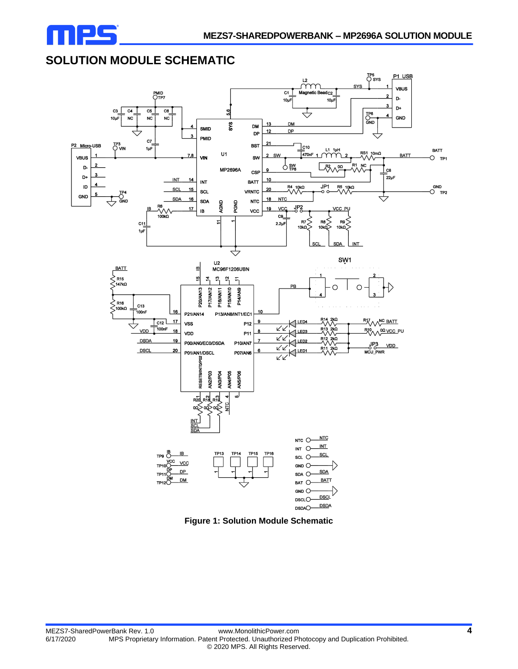

# **SOLUTION MODULE SCHEMATIC**



**Figure 1: Solution Module Schematic**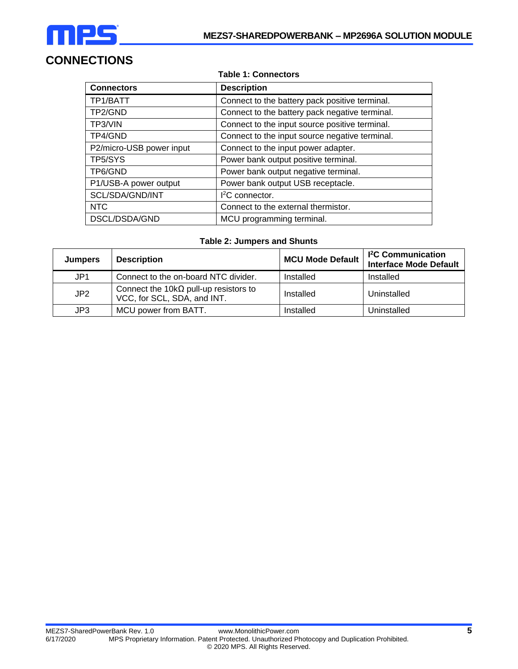

# **CONNECTIONS**

#### **Table 1: Connectors**

| <b>Connectors</b>        | <b>Description</b>                             |
|--------------------------|------------------------------------------------|
| TP1/BATT                 | Connect to the battery pack positive terminal. |
| TP2/GND                  | Connect to the battery pack negative terminal. |
| TP3/VIN                  | Connect to the input source positive terminal. |
| TP4/GND                  | Connect to the input source negative terminal. |
| P2/micro-USB power input | Connect to the input power adapter.            |
| TP5/SYS                  | Power bank output positive terminal.           |
| TP6/GND                  | Power bank output negative terminal.           |
| P1/USB-A power output    | Power bank output USB receptacle.              |
| SCL/SDA/GND/INT          | $12C$ connector.                               |
| <b>NTC</b>               | Connect to the external thermistor.            |
| DSCL/DSDA/GND            | MCU programming terminal.                      |

#### **Table 2: Jumpers and Shunts**

| <b>Jumpers</b>  | <b>Description</b>                                                           | <b>MCU Mode Default</b> | <b>I<sup>2</sup>C</b> Communication<br><b>Interface Mode Default</b> |
|-----------------|------------------------------------------------------------------------------|-------------------------|----------------------------------------------------------------------|
| JP1             | Connect to the on-board NTC divider.                                         | Installed               | Installed                                                            |
| JP <sub>2</sub> | Connect the 10k $\Omega$ pull-up resistors to<br>VCC, for SCL, SDA, and INT. | Installed               | Uninstalled                                                          |
| JP3             | MCU power from BATT.                                                         | Installed               | Uninstalled                                                          |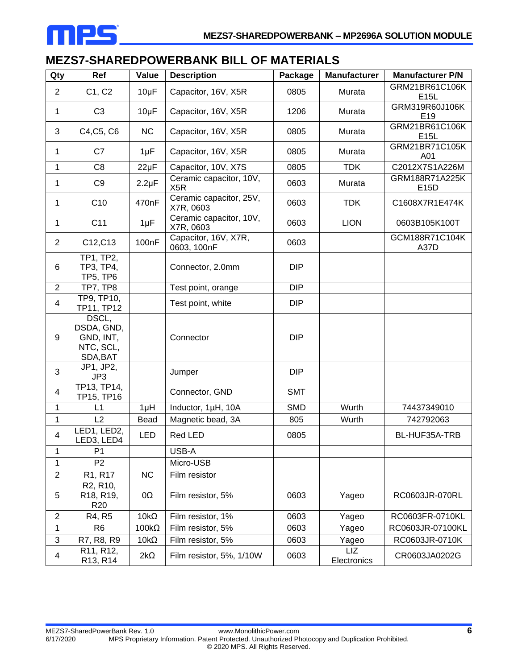

# **MEZS7-SHAREDPOWERBANK BILL OF MATERIALS**

| Qty                     | Ref                                                                | Value              | <b>Description</b>                          | Package    | <b>Manufacturer</b> | <b>Manufacturer P/N</b>      |
|-------------------------|--------------------------------------------------------------------|--------------------|---------------------------------------------|------------|---------------------|------------------------------|
| $\overline{2}$          | C1, C2                                                             | $10\mu F$          | Capacitor, 16V, X5R                         | 0805       | Murata              | GRM21BR61C106K<br>E15L       |
| $\mathbf{1}$            | C <sub>3</sub>                                                     | $10\mu F$          | Capacitor, 16V, X5R                         | 1206       | Murata              | GRM319R60J106K<br>E19        |
| 3                       | C4, C5, C6                                                         | <b>NC</b>          | Capacitor, 16V, X5R                         | 0805       | Murata              | GRM21BR61C106K<br>E15L       |
| $\mathbf{1}$            | C7                                                                 | $1\mu F$           | Capacitor, 16V, X5R                         | 0805       | Murata              | <b>GRM21BR71C105K</b><br>A01 |
| $\mathbf{1}$            | C <sub>8</sub>                                                     | $22\mu F$          | Capacitor, 10V, X7S                         | 0805       | <b>TDK</b>          | C2012X7S1A226M               |
| 1                       | C <sub>9</sub>                                                     | $2.2\mu F$         | Ceramic capacitor, 10V,<br>X <sub>5</sub> R | 0603       | Murata              | GRM188R71A225K<br>E15D       |
| 1                       | C10                                                                | 470nF              | Ceramic capacitor, 25V,<br>X7R, 0603        | 0603       | <b>TDK</b>          | C1608X7R1E474K               |
| $\mathbf{1}$            | C <sub>11</sub>                                                    | $1 \mu F$          | Ceramic capacitor, 10V,<br>X7R, 0603        | 0603       | <b>LION</b>         | 0603B105K100T                |
| $\overline{2}$          | C12, C13                                                           | 100 <sub>n</sub> F | Capacitor, 16V, X7R,<br>0603, 100nF         | 0603       |                     | GCM188R71C104K<br>A37D       |
| 6                       | TP1, TP2,<br>TP3, TP4,<br><b>TP5, TP6</b>                          |                    | Connector, 2.0mm                            | <b>DIP</b> |                     |                              |
| $\overline{2}$          | <b>TP7, TP8</b>                                                    |                    | Test point, orange                          | <b>DIP</b> |                     |                              |
| $\overline{\mathbf{4}}$ | TP9, TP10,<br>TP11, TP12                                           |                    | Test point, white                           | <b>DIP</b> |                     |                              |
| 9                       | DSCL,<br>DSDA, GND,<br>GND, INT,<br>NTC, SCL,<br>SDA, BAT          |                    | Connector                                   | <b>DIP</b> |                     |                              |
| 3                       | JP1, JP2,<br>JP3                                                   |                    | Jumper                                      | <b>DIP</b> |                     |                              |
| 4                       | TP13, TP14,<br>TP15, TP16                                          |                    | Connector, GND                              | <b>SMT</b> |                     |                              |
| 1                       | L1                                                                 | $1\muH$            | Inductor, 1µH, 10A                          | <b>SMD</b> | Wurth               | 74437349010                  |
| $\mathbf{1}$            | L2                                                                 | <b>Bead</b>        | Magnetic bead, 3A                           | 805        | Wurth               | 742792063                    |
| $\overline{\mathbf{4}}$ | LED1, LED2,<br>LED3, LED4                                          | LED                | Red LED                                     | 0805       |                     | BL-HUF35A-TRB                |
| 1                       | P <sub>1</sub>                                                     |                    | USB-A                                       |            |                     |                              |
| 1                       | P <sub>2</sub>                                                     |                    | Micro-USB                                   |            |                     |                              |
| $\overline{2}$          | R1, R17                                                            | NC                 | Film resistor                               |            |                     |                              |
| 5                       | R <sub>2</sub> , R <sub>10</sub> ,<br>R18, R19,<br>R <sub>20</sub> | 0Ω                 | Film resistor, 5%                           | 0603       | Yageo               | RC0603JR-070RL               |
| $\overline{2}$          | R4, R5                                                             | $10k\Omega$        | Film resistor, 1%                           | 0603       | Yageo               | RC0603FR-0710KL              |
| $\mathbf{1}$            | R <sub>6</sub>                                                     | $100k\Omega$       | Film resistor, 5%                           | 0603       | Yageo               | RC0603JR-07100KL             |
| 3                       | R7, R8, R9                                                         | $10k\Omega$        | Film resistor, 5%                           | 0603       | Yageo               | RC0603JR-0710K               |
| 4                       | R11, R12,<br>R13, R14                                              | $2k\Omega$         | Film resistor, 5%, 1/10W                    | 0603       | LIZ<br>Electronics  | CR0603JA0202G                |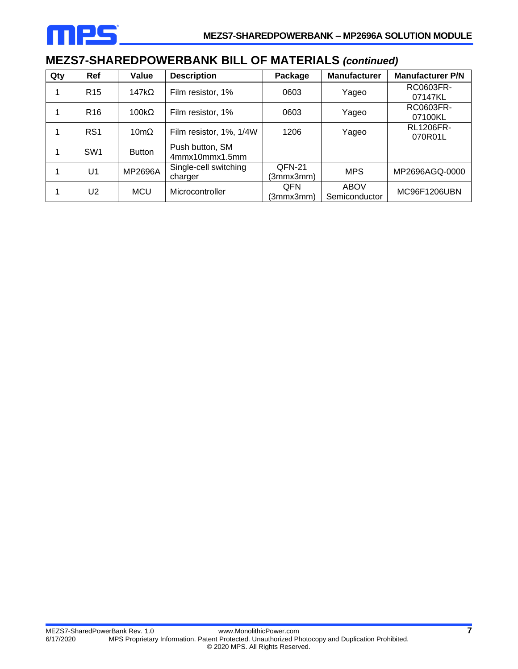

# **MEZS7-SHAREDPOWERBANK BILL OF MATERIALS** *(continued)*

| Qty | Ref              | Value               | <b>Description</b>                | Package                 | <b>Manufacturer</b>          | <b>Manufacturer P/N</b>     |
|-----|------------------|---------------------|-----------------------------------|-------------------------|------------------------------|-----------------------------|
|     | R <sub>15</sub>  | 147k $\Omega$       | Film resistor, 1%                 | 0603                    | Yageo                        | RC0603FR-<br>07147KL        |
|     | R <sub>16</sub>  | $100k\Omega$        | Film resistor, 1%                 | 0603                    | Yageo                        | RC0603FR-<br>07100KL        |
|     | R <sub>S</sub> 1 | $10 \text{m}\Omega$ | Film resistor, 1%, 1/4W           | 1206                    | Yageo                        | <b>RL1206FR-</b><br>070R01L |
|     | SW <sub>1</sub>  | <b>Button</b>       | Push button, SM<br>4mmx10mmx1.5mm |                         |                              |                             |
|     | U <sub>1</sub>   | MP2696A             | Single-cell switching<br>charger  | QFN-21<br>(3mmx3mm)     | <b>MPS</b>                   | MP2696AGQ-0000              |
|     | U <sub>2</sub>   | <b>MCU</b>          | Microcontroller                   | <b>QFN</b><br>(3mmx3mm) | <b>ABOV</b><br>Semiconductor | MC96F1206UBN                |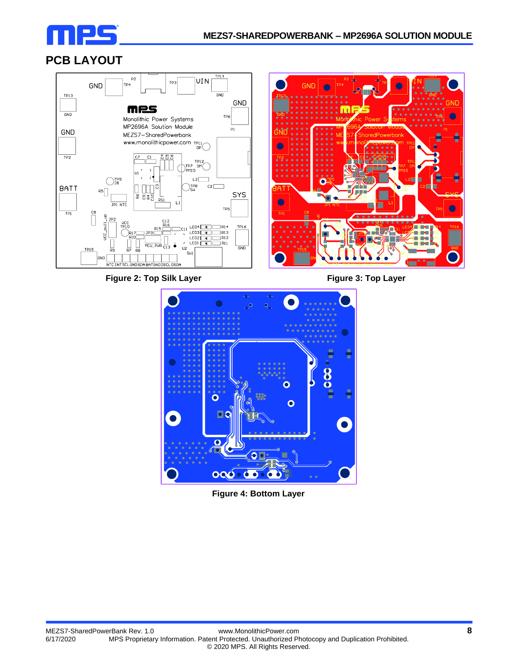

# **PCB LAYOUT**



**Figure 2: Top Silk Layer Figure 3: Top Layer**





**Figure 4: Bottom Layer**